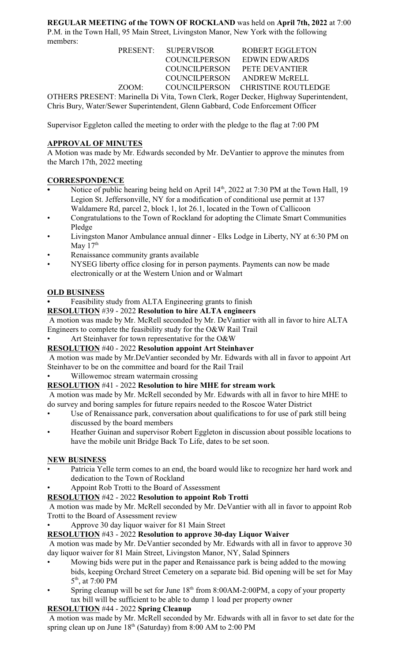**REGULAR MEETING of the TOWN OF ROCKLAND** was held on **April 7th, 2022** at 7:00 P.M. in the Town Hall, 95 Main Street, Livingston Manor, New York with the following members:

|                                                                                      | PRESENT: SUPERVISOR  | <b>ROBERT EGGLETON</b>            |  |  |
|--------------------------------------------------------------------------------------|----------------------|-----------------------------------|--|--|
|                                                                                      | <b>COUNCILPERSON</b> | <b>EDWIN EDWARDS</b>              |  |  |
|                                                                                      | <b>COUNCILPERSON</b> | PETE DEVANTIER                    |  |  |
|                                                                                      |                      | COUNCILPERSON ANDREW McRELL       |  |  |
| ZOOM:                                                                                |                      | COUNCILPERSON CHRISTINE ROUTLEDGE |  |  |
| OTHERS PRESENT: Marinella Di Vita, Town Clerk, Roger Decker, Highway Superintendent, |                      |                                   |  |  |
| Chris Bury, Water/Sewer Superintendent, Glenn Gabbard, Code Enforcement Officer      |                      |                                   |  |  |

Supervisor Eggleton called the meeting to order with the pledge to the flag at 7:00 PM

# **APPROVAL OF MINUTES**

A Motion was made by Mr. Edwards seconded by Mr. DeVantier to approve the minutes from the March 17th, 2022 meeting

## **CORRESPONDENCE**

- Notice of public hearing being held on April 14<sup>th</sup>, 2022 at 7:30 PM at the Town Hall, 19 Legion St. Jeffersonville, NY for a modification of conditional use permit at 137 Waldamere Rd, parcel 2, block 1, lot 26.1, located in the Town of Callicoon
- Congratulations to the Town of Rockland for adopting the Climate Smart Communities Pledge
- Livingston Manor Ambulance annual dinner Elks Lodge in Liberty, NY at 6:30 PM on May  $17<sup>th</sup>$
- Renaissance community grants available
- NYSEG liberty office closing for in person payments. Payments can now be made electronically or at the Western Union and or Walmart

### **OLD BUSINESS**

**•** Feasibility study from ALTA Engineering grants to finish

#### **RESOLUTION** #39 - 2022 **Resolution to hire ALTA engineers**

 A motion was made by Mr. McRell seconded by Mr. DeVantier with all in favor to hire ALTA Engineers to complete the feasibility study for the O&W Rail Trail

Art Steinhaver for town representative for the  $O&W$ 

### **RESOLUTION** #40 - 2022 **Resolution appoint Art Steinhaver**

 A motion was made by Mr.DeVantier seconded by Mr. Edwards with all in favor to appoint Art Steinhaver to be on the committee and board for the Rail Trail

Willowemoc stream watermain crossing

### **RESOLUTION** #41 - 2022 **Resolution to hire MHE for stream work**

 A motion was made by Mr. McRell seconded by Mr. Edwards with all in favor to hire MHE to do survey and boring samples for future repairs needed to the Roscoe Water District

- Use of Renaissance park, conversation about qualifications to for use of park still being discussed by the board members
- Heather Guinan and supervisor Robert Eggleton in discussion about possible locations to have the mobile unit Bridge Back To Life, dates to be set soon.

### **NEW BUSINESS**

- Patricia Yelle term comes to an end, the board would like to recognize her hard work and dedication to the Town of Rockland
- Appoint Rob Trotti to the Board of Assessment

### **RESOLUTION** #42 - 2022 **Resolution to appoint Rob Trotti**

 A motion was made by Mr. McRell seconded by Mr. DeVantier with all in favor to appoint Rob Trotti to the Board of Assessment review

• Approve 30 day liquor waiver for 81 Main Street

### **RESOLUTION** #43 - 2022 **Resolution to approve 30-day Liquor Waiver**

 A motion was made by Mr. DeVantier seconded by Mr. Edwards with all in favor to approve 30 day liquor waiver for 81 Main Street, Livingston Manor, NY, Salad Spinners

- Mowing bids were put in the paper and Renaissance park is being added to the mowing bids, keeping Orchard Street Cemetery on a separate bid. Bid opening will be set for May 5<sup>th</sup>, at 7:00 PM
- Spring cleanup will be set for June  $18<sup>th</sup>$  from 8:00AM-2:00PM, a copy of your property tax bill will be sufficient to be able to dump 1 load per property owner

### **RESOLUTION** #44 - 2022 **Spring Cleanup**

 A motion was made by Mr. McRell seconded by Mr. Edwards with all in favor to set date for the spring clean up on June  $18<sup>th</sup>$  (Saturday) from 8:00 AM to 2:00 PM